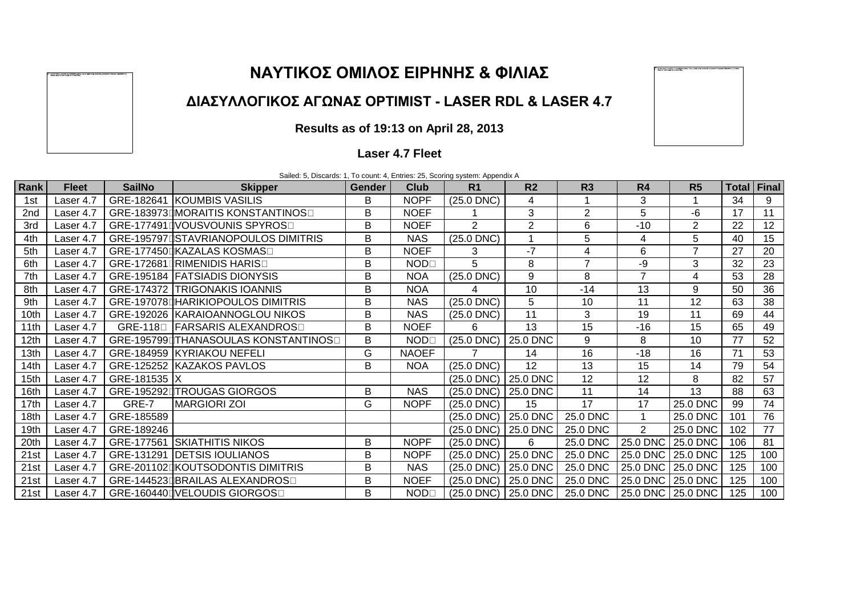## **ΝΑΥΤΙΚΟΣ ΟΜΙΛΟΣ ΕΙΡΗΝΗΣ & ΦΙΛΙΑΣ**

### **ΔΙΑΣΥΛΛΟΓΙΚΟΣ ΑΓΩΝΑΣ OPTIMIST - LASER RDL & LASER 4.7**

# **Results as of 19:13 on April 28, 2013**

#### **Laser 4.7 Fleet**

|                  | Sailed: 5, Discards: 1, To count: 4, Entries: 25, Scoring system: Appendix A |               |                                      |               |                            |                                 |                 |                |                |                   |             |     |
|------------------|------------------------------------------------------------------------------|---------------|--------------------------------------|---------------|----------------------------|---------------------------------|-----------------|----------------|----------------|-------------------|-------------|-----|
| Rank             | <b>Fleet</b>                                                                 | <b>SailNo</b> | <b>Skipper</b>                       | <b>Gender</b> | Club                       | R <sub>1</sub>                  | R <sub>2</sub>  | R3             | R <sub>4</sub> | R <sub>5</sub>    | Total Final |     |
| 1st              | Laser 4.7                                                                    |               | GRE-182641 KOUMBIS VASILIS           | B             | <b>NOPF</b>                | $(25.0$ DNC $)$                 | 4               |                | 3              |                   | 34          | 9   |
| 2nd              | Laser 4.7                                                                    |               | GRE-183973DMORAITIS KONSTANTINOSO    | B             | <b>NOEF</b>                |                                 | 3               | 2              | 5              | $-6$              | 17          | 11  |
| 3rd              | Laser 4.7                                                                    |               | GRE-177491 JVOUSVOUNIS SPYROS        | B             | <b>NOEF</b>                | 2                               | $\overline{2}$  | 6              | $-10$          | 2                 | 22          | 12  |
| 4th              | Laser 4.7                                                                    |               | GRE-195797 STAVRIANOPOULOS DIMITRIS  | В             | <b>NAS</b>                 | $(25.0$ DNC $)$                 |                 | 5              | 4              | 5                 | 40          | 15  |
| 5th              | Laser 4.7                                                                    |               | GRE-177450⊡KAZALAS KOSMAS□           | B             | <b>NOEF</b>                | 3                               | $-7$            | 4              | 6              | $\overline{7}$    | 27          | 20  |
| 6th              | Laser 4.7                                                                    |               | GRE-172681 RIMENIDIS HARIS           | B             | <b>NOD</b> <sub>[1</sub> ] | 5                               | 8               | $\overline{7}$ | -9             | 3                 | 32          | 23  |
| 7th              | Laser 4.7                                                                    |               | GRE-195184 FATSIADIS DIONYSIS        | B             | <b>NOA</b>                 | $(25.0$ DNC $)$                 | 9               | 8              | $\overline{7}$ | 4                 | 53          | 28  |
| 8th              | Laser 4.7                                                                    |               | <b>GRE-174372 TRIGONAKIS IOANNIS</b> | B             | <b>NOA</b>                 | 4                               | 10              | $-14$          | 13             | 9                 | 50          | 36  |
| 9th              | Laser 4.7                                                                    |               | GRE-197078DHARIKIOPOULOS DIMITRIS    | B             | <b>NAS</b>                 | $(25.0$ DNC $)$                 | 5               | 10             | 11             | 12                | 63          | 38  |
| 10th             | Laser 4.7                                                                    |               | GRE-192026 KARAIOANNOGLOU NIKOS      | В             | <b>NAS</b>                 | $(25.0$ DNC $)$                 | 11              | 3              | 19             | 11                | 69          | 44  |
| 11th             | Laser 4.7                                                                    |               | GRE-1180 FARSARIS ALEXANDROSO        | B             | <b>NOEF</b>                | 6                               | 13              | 15             | $-16$          | 15                | 65          | 49  |
| 12 <sub>th</sub> | Laser 4.7                                                                    |               | GRE-195799dTHANASOULAS KONSTANTINOSO | В             | <b>NOD</b> <sub>[1</sub> ] | $(25.0$ DNC $)$                 | 25.0 DNC        | 9              | 8              | 10                | 77          | 52  |
| 13th             | Laser 4.7                                                                    |               | GRE-184959 KYRIAKOU NEFELI           | G             | <b>NAOEF</b>               |                                 | 14              | 16             | $-18$          | 16                | 71          | 53  |
| 14th             | Laser 4.7                                                                    |               | GRE-125252 KAZAKOS PAVLOS            | B             | <b>NOA</b>                 | $(25.0$ DNC $)$                 | 12 <sup>2</sup> | 13             | 15             | 14                | 79          | 54  |
| 15 <sub>th</sub> | Laser 4.7                                                                    | GRE-181535 X  |                                      |               |                            | $(25.0$ DNC $)$                 | 25.0 DNC        | 12             | 12             | 8                 | 82          | 57  |
| 16th             | Laser 4.7                                                                    |               | GRE-195292LTROUGAS GIORGOS           | B             | <b>NAS</b>                 | $(25.0$ DNC $)$                 | 25.0 DNC        | 11             | 14             | 13                | 88          | 63  |
| 17th             | Laser 4.7                                                                    | GRE-7         | <b>MARGIORI ZOI</b>                  | G             | <b>NOPF</b>                | $(25.0$ DNC)                    | 15              | 17             | 17             | 25.0 DNC          | 99          | 74  |
| 18th             | Laser 4.7                                                                    | GRE-185589    |                                      |               |                            | $(25.0$ DNC $)$                 | 25.0 DNC        | 25.0 DNC       |                | 25.0 DNC          | 101         | 76  |
| 19th             | Laser 4.7                                                                    | GRE-189246    |                                      |               |                            | $(25.0$ DNC)                    | 25.0 DNC        | 25.0 DNC       | $\overline{2}$ | 25.0 DNC          | 102         | 77  |
| 20th             | Laser 4.7                                                                    |               | GRE-177561 SKIATHITIS NIKOS          | B             | <b>NOPF</b>                | $(25.0$ DNC $)$                 | 6               | 25.0 DNC       | 25.0 DNC       | 25.0 DNC          | 106         | 81  |
| 21st             | Laser 4.7                                                                    |               | GRE-131291 DETSIS IOULIANOS          | В             | <b>NOPF</b>                | $(25.0$ DNC $)$                 | 25.0 DNC        | 25.0 DNC       | 25.0 DNC       | 25.0 DNC          | 125         | 100 |
| 21st             | Laser 4.7                                                                    |               | GRE-201102 KOUTSODONTIS DIMITRIS     | B             | <b>NAS</b>                 | $(25.0$ DNC)                    | 25.0 DNC        | 25.0 DNC       | 25.0 DNC       | 25.0 DNC          | 125         | 100 |
| 21st             | Laser 4.7                                                                    |               | GRE-144523DBRAILAS ALEXANDROSO       | В             | <b>NOEF</b>                | $(25.0$ DNC $)$                 | 25.0 DNC        | 25.0 DNC       | 25.0 DNC       | 25.0 DNC          | 125         | 100 |
| 21st             | Laser 4.7                                                                    |               | GRE-160440 VELOUDIS GIORGOS          | Β             | $NOD\square$               | $(25.0 \, \text{DNC})$ 25.0 DNC |                 | 25.0 DNC       |                | 25.0 DNC 25.0 DNC | 125         | 100 |